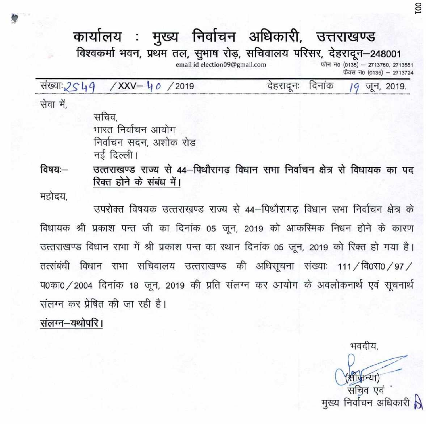# कार्यालय : मुख्य निर्वाचन अधिकारी, उत्तराखण्ड

विश्वकर्मा भवन, प्रथम तल, सुभाष रोड़, सचिवालय परिसर, देहरादून-248001

email id election09@gmail.com

फोन न0 (0135) - 2713760, 2713551 फैक्स न0 (0135) - 2713724

संख्याः 2549  $/XXV - 40 / 2019$  देहरादनः दिनांक

जून, 2019.

SO1

सेवा में.

सचिव. भारत निर्वाचन आयोग निर्वाचन सदन, अशोक रोड नई दिल्ली।

उत्तराखण्ड राज्य से 44-पिथौरागढ विधान सभा निर्वाचन क्षेत्र से विधायक का पद विषय:— रिक्त होने के संबंध में।

महोदय.

उपरोक्त विषयक उत्तराखण्ड राज्य से 44–पिथौरागढ विधान सभा निर्वाचन क्षेत्र के विधायक श्री प्रकाश पन्त जी का दिनांक 05 जून, 2019 को आकस्मिक निधन होने के कारण उत्तराखण्ड विधान सभा में श्री प्रकाश पन्त का स्थान दिनांक 05 जून, 2019 को रिक्त हो गया है। तत्संबंधी विधान सभा सचिवालय उत्तराखण्ड की अधिसूचना संख्याः 111 /वि0स0 / 97 / प0का0 / 2004 दिनांक 18 जून, 2019 की प्रति संलग्न कर आयोग के अवलोकनार्थ एवं सूचनार्थ संलग्न कर प्रेषित की जा रही है।

संलग्न-यथोपरि ।

भवदीय. (सी जन्या) सचिव एवं मुख्य निर्वाचन अधिकारी N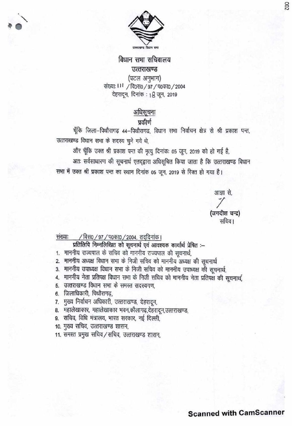

#### विधान सभा सचिवालय उत्तराखण्ड (पटल अनुभाग)

संख्या: 111 / वि0स0 / 97 / प0का0 / 2004 देहरादून, दिनांक : 18 जून, 2019

## अधिसूचना

### प्रकीर्ण

चूँकि जिला-पिथौरागढ़ 44-पिथौरागढ, विधान सभा निर्वाचन क्षेत्र से श्री प्रकाश पन्त, उत्तराखण्ड विधान सभा के सदस्य चुने गये थे,

और चूँकि उक्त श्री प्रकाश पन्त की मृत्यु दिनांक: 05 जून, 2019 को हो गई है,

अतः सर्वसाधारण की सूचनार्थ एतद्द्वारा अधिसूचित किया जाता है कि उत्तराखण्ड विधान सभा में उक्त श्री प्रकाश पन्त का स्थान दिनांक 05 जून, 2019 से रिक्त हो गया है।

> आज्ञा से. (जगदीश चन्द्र) सचिव ।

002

#### संख्याः / विस0 / 97 / प0का0 / 2004, तददिनांक।

प्रतिलिपि निम्नलिखित को सूचनार्थ एवं आवश्यक कार्यार्थ प्रेषित :--

- 1. माननीय राज्यपाल के सचिव को माननीय राज्यपाल की सूचनार्थ,
- 2. माननीय अध्यक्ष विधान सभा के निजी सचिव को माननीय अध्यक्ष की सूचनार्थ
- 3. माननीय उपाध्यक्ष विधान सभा के निजी सचिव को माननीय उपाध्यक्ष की सूचनार्थ,
- 4. माननीय नेता प्रतिपक्ष विधान सभा के निजी सचिव को माननीय नेता प्रतिपक्ष की सूचनार्थ,
- 5. उत्तराखण्ड विधान सभा के समस्त सदस्यगण.
- 6. जिलाधिकारी, पिथौरागढ़,
- 7. मुख्य निर्वाचन अधिकारी, उत्तराखण्ड, देहरादून,
- 8. महालेखाकार, महालेखाकार भवन,कौलागढ़,देहरादून,उत्तराखण्ड,
- 9. सचिव, विधि मंत्रालय, भारत सरकार, नई दिल्ली,
- 10. मुख्य सचिव, उत्तराखण्ड शासन,
- 11. समस्त प्रमुख सचिव/सचिव, उत्तराखण्ड शासन,